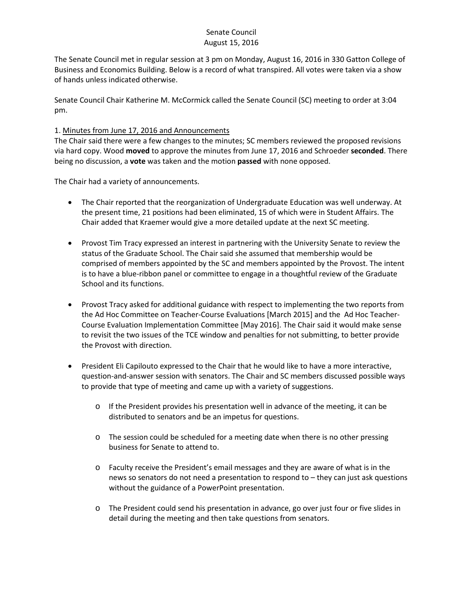The Senate Council met in regular session at 3 pm on Monday, August 16, 2016 in 330 Gatton College of Business and Economics Building. Below is a record of what transpired. All votes were taken via a show of hands unless indicated otherwise.

Senate Council Chair Katherine M. McCormick called the Senate Council (SC) meeting to order at 3:04 pm.

### 1. Minutes from June 17, 2016 and Announcements

The Chair said there were a few changes to the minutes; SC members reviewed the proposed revisions via hard copy. Wood **moved** to approve the minutes from June 17, 2016 and Schroeder **seconded**. There being no discussion, a **vote** was taken and the motion **passed** with none opposed.

The Chair had a variety of announcements.

- The Chair reported that the reorganization of Undergraduate Education was well underway. At the present time, 21 positions had been eliminated, 15 of which were in Student Affairs. The Chair added that Kraemer would give a more detailed update at the next SC meeting.
- Provost Tim Tracy expressed an interest in partnering with the University Senate to review the status of the Graduate School. The Chair said she assumed that membership would be comprised of members appointed by the SC and members appointed by the Provost. The intent is to have a blue-ribbon panel or committee to engage in a thoughtful review of the Graduate School and its functions.
- Provost Tracy asked for additional guidance with respect to implementing the two reports from the Ad Hoc Committee on Teacher-Course Evaluations [March 2015] and the Ad Hoc Teacher-Course Evaluation Implementation Committee [May 2016]. The Chair said it would make sense to revisit the two issues of the TCE window and penalties for not submitting, to better provide the Provost with direction.
- President Eli Capilouto expressed to the Chair that he would like to have a more interactive, question-and-answer session with senators. The Chair and SC members discussed possible ways to provide that type of meeting and came up with a variety of suggestions.
	- o If the President provides his presentation well in advance of the meeting, it can be distributed to senators and be an impetus for questions.
	- o The session could be scheduled for a meeting date when there is no other pressing business for Senate to attend to.
	- o Faculty receive the President's email messages and they are aware of what is in the news so senators do not need a presentation to respond to – they can just ask questions without the guidance of a PowerPoint presentation.
	- o The President could send his presentation in advance, go over just four or five slides in detail during the meeting and then take questions from senators.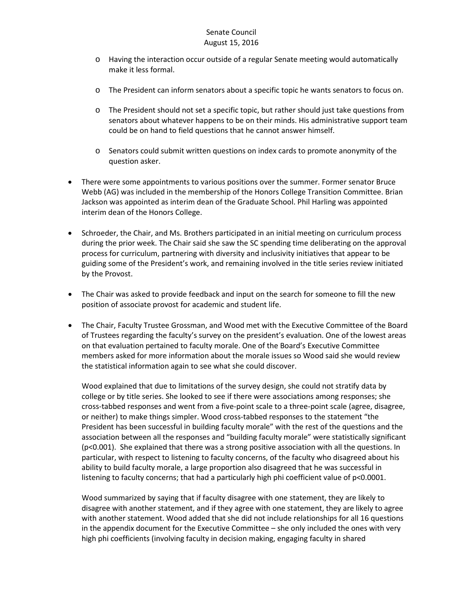- o Having the interaction occur outside of a regular Senate meeting would automatically make it less formal.
- o The President can inform senators about a specific topic he wants senators to focus on.
- o The President should not set a specific topic, but rather should just take questions from senators about whatever happens to be on their minds. His administrative support team could be on hand to field questions that he cannot answer himself.
- o Senators could submit written questions on index cards to promote anonymity of the question asker.
- There were some appointments to various positions over the summer. Former senator Bruce Webb (AG) was included in the membership of the Honors College Transition Committee. Brian Jackson was appointed as interim dean of the Graduate School. Phil Harling was appointed interim dean of the Honors College.
- Schroeder, the Chair, and Ms. Brothers participated in an initial meeting on curriculum process during the prior week. The Chair said she saw the SC spending time deliberating on the approval process for curriculum, partnering with diversity and inclusivity initiatives that appear to be guiding some of the President's work, and remaining involved in the title series review initiated by the Provost.
- The Chair was asked to provide feedback and input on the search for someone to fill the new position of associate provost for academic and student life.
- The Chair, Faculty Trustee Grossman, and Wood met with the Executive Committee of the Board of Trustees regarding the faculty's survey on the president's evaluation. One of the lowest areas on that evaluation pertained to faculty morale. One of the Board's Executive Committee members asked for more information about the morale issues so Wood said she would review the statistical information again to see what she could discover.

Wood explained that due to limitations of the survey design, she could not stratify data by college or by title series. She looked to see if there were associations among responses; she cross-tabbed responses and went from a five-point scale to a three-point scale (agree, disagree, or neither) to make things simpler. Wood cross-tabbed responses to the statement "the President has been successful in building faculty morale" with the rest of the questions and the association between all the responses and "building faculty morale" were statistically significant (p<0.001). She explained that there was a strong positive association with all the questions. In particular, with respect to listening to faculty concerns, of the faculty who disagreed about his ability to build faculty morale, a large proportion also disagreed that he was successful in listening to faculty concerns; that had a particularly high phi coefficient value of p<0.0001.

Wood summarized by saying that if faculty disagree with one statement, they are likely to disagree with another statement, and if they agree with one statement, they are likely to agree with another statement. Wood added that she did not include relationships for all 16 questions in the appendix document for the Executive Committee – she only included the ones with very high phi coefficients (involving faculty in decision making, engaging faculty in shared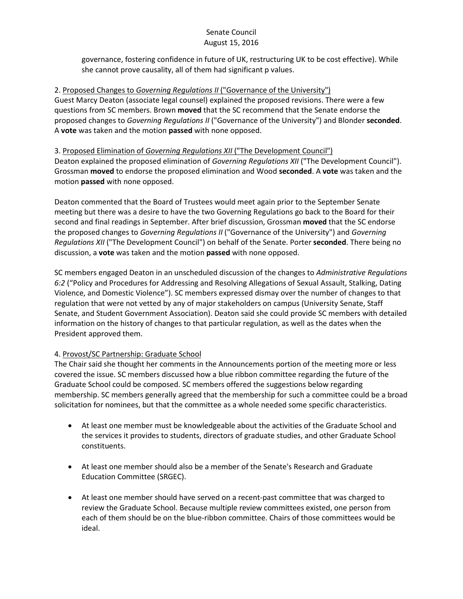governance, fostering confidence in future of UK, restructuring UK to be cost effective). While she cannot prove causality, all of them had significant p values.

### 2. Proposed Changes to *Governing Regulations II* ("Governance of the University")

Guest Marcy Deaton (associate legal counsel) explained the proposed revisions. There were a few questions from SC members. Brown **moved** that the SC recommend that the Senate endorse the proposed changes to *Governing Regulations II* ("Governance of the University") and Blonder **seconded**. A **vote** was taken and the motion **passed** with none opposed.

3. Proposed Elimination of *Governing Regulations XII* ("The Development Council") Deaton explained the proposed elimination of *Governing Regulations XII* ("The Development Council"). Grossman **moved** to endorse the proposed elimination and Wood **seconded**. A **vote** was taken and the motion **passed** with none opposed.

Deaton commented that the Board of Trustees would meet again prior to the September Senate meeting but there was a desire to have the two Governing Regulations go back to the Board for their second and final readings in September. After brief discussion, Grossman **moved** that the SC endorse the proposed changes to *Governing Regulations II* ("Governance of the University") and *Governing Regulations XII* ("The Development Council") on behalf of the Senate. Porter **seconded**. There being no discussion, a **vote** was taken and the motion **passed** with none opposed.

SC members engaged Deaton in an unscheduled discussion of the changes to *Administrative Regulations 6:2* ("Policy and Procedures for Addressing and Resolving Allegations of Sexual Assault, Stalking, Dating Violence, and Domestic Violence"). SC members expressed dismay over the number of changes to that regulation that were not vetted by any of major stakeholders on campus (University Senate, Staff Senate, and Student Government Association). Deaton said she could provide SC members with detailed information on the history of changes to that particular regulation, as well as the dates when the President approved them.

## 4. Provost/SC Partnership: Graduate School

The Chair said she thought her comments in the Announcements portion of the meeting more or less covered the issue. SC members discussed how a blue ribbon committee regarding the future of the Graduate School could be composed. SC members offered the suggestions below regarding membership. SC members generally agreed that the membership for such a committee could be a broad solicitation for nominees, but that the committee as a whole needed some specific characteristics.

- At least one member must be knowledgeable about the activities of the Graduate School and the services it provides to students, directors of graduate studies, and other Graduate School constituents.
- At least one member should also be a member of the Senate's Research and Graduate Education Committee (SRGEC).
- At least one member should have served on a recent-past committee that was charged to review the Graduate School. Because multiple review committees existed, one person from each of them should be on the blue-ribbon committee. Chairs of those committees would be ideal.